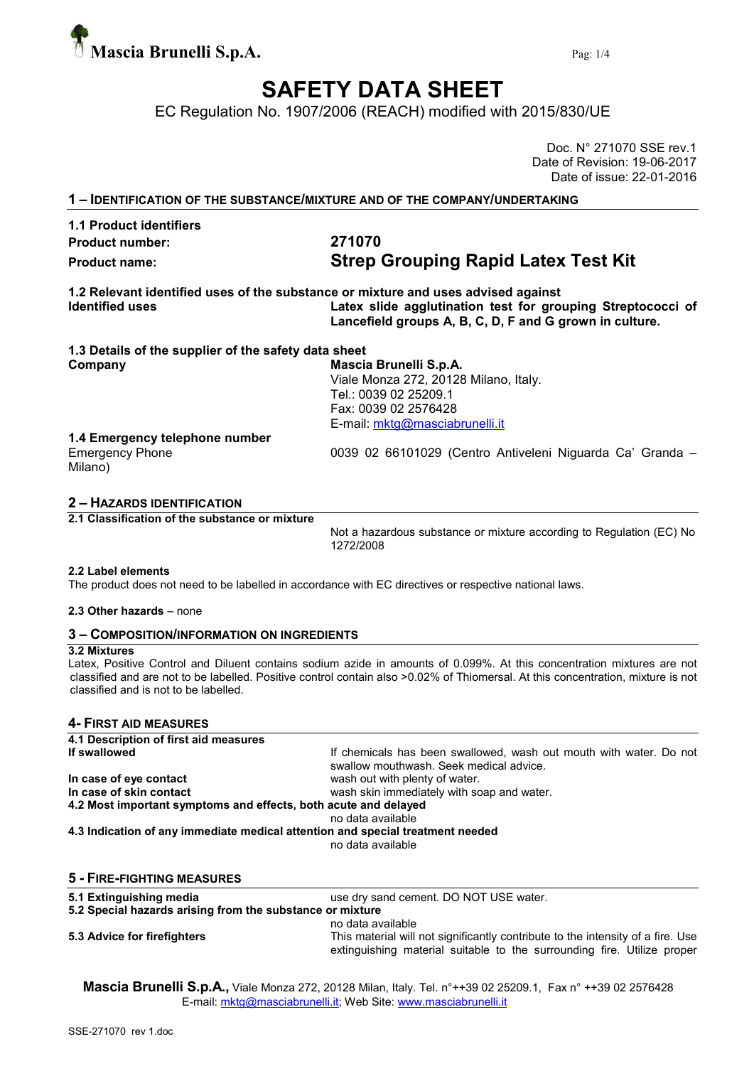

## SAFETY DATA SHEET

EC Regulation No. 1907/2006 (REACH) modified with 2015/830/UE

Doc. N° 271070 SSE rev.1 Date of Revision: 19-06-2017 Date of issue: 22-01-2016

1 – IDENTIFICATION OF THE SUBSTANCE/MIXTURE AND OF THE COMPANY/UNDERTAKING

### 1.1 Product identifiers Product number: 271070

# Product name: Strep Grouping Rapid Latex Test Kit

1.2 Relevant identified uses of the substance or mixture and uses advised against Identified uses **Latex slide agglutination test for grouping Streptococci of** Lancefield groups A, B, C, D, F and G grown in culture.

| 1.3 Details of the supplier of the safety data sheet      |  |  |  |  |
|-----------------------------------------------------------|--|--|--|--|
| Mascia Brunelli S.p.A.                                    |  |  |  |  |
| Viale Monza 272, 20128 Milano, Italy.                     |  |  |  |  |
| Tel.: 0039 02 25209.1                                     |  |  |  |  |
| Fax: 0039 02 2576428                                      |  |  |  |  |
| E-mail: mktg@masciabrunelli.it                            |  |  |  |  |
|                                                           |  |  |  |  |
| 0039 02 66101029 (Centro Antiveleni Niguarda Ca' Granda – |  |  |  |  |
|                                                           |  |  |  |  |

#### 2 – HAZARDS IDENTIFICATION

2.1 Classification of the substance or mixture

Not a hazardous substance or mixture according to Regulation (EC) No 1272/2008

#### 2.2 Label elements

The product does not need to be labelled in accordance with EC directives or respective national laws.

#### 2.3 Other hazards – none

#### 3 – COMPOSITION/INFORMATION ON INGREDIENTS

#### 3.2 Mixtures

Latex, Positive Control and Diluent contains sodium azide in amounts of 0.099%. At this concentration mixtures are not classified and are not to be labelled. Positive control contain also >0.02% of Thiomersal. At this concentration, mixture is not classified and is not to be labelled.

#### 4- FIRST AID MEASURES

| 4.1 Description of first aid measures                                          |                                                                                                                                                            |  |  |  |  |  |
|--------------------------------------------------------------------------------|------------------------------------------------------------------------------------------------------------------------------------------------------------|--|--|--|--|--|
| If swallowed                                                                   | If chemicals has been swallowed, wash out mouth with water. Do not<br>swallow mouthwash. Seek medical advice.                                              |  |  |  |  |  |
| In case of eye contact                                                         | wash out with plenty of water.                                                                                                                             |  |  |  |  |  |
| In case of skin contact                                                        | wash skin immediately with soap and water.                                                                                                                 |  |  |  |  |  |
| 4.2 Most important symptoms and effects, both acute and delayed                | no data available                                                                                                                                          |  |  |  |  |  |
| 4.3 Indication of any immediate medical attention and special treatment needed |                                                                                                                                                            |  |  |  |  |  |
|                                                                                | no data available                                                                                                                                          |  |  |  |  |  |
| 5 - FIRE-FIGHTING MEASURES                                                     |                                                                                                                                                            |  |  |  |  |  |
| 5.1 Extinguishing media                                                        | use dry sand cement. DO NOT USE water.                                                                                                                     |  |  |  |  |  |
| 5.2 Special hazards arising from the substance or mixture                      |                                                                                                                                                            |  |  |  |  |  |
|                                                                                | no data available                                                                                                                                          |  |  |  |  |  |
| 5.3 Advice for firefighters                                                    | This material will not significantly contribute to the intensity of a fire. Use<br>extinguishing material suitable to the surrounding fire. Utilize proper |  |  |  |  |  |

Mascia Brunelli S.p.A., Viale Monza 272, 20128 Milan, Italy. Tel. n°++39 02 25209.1, Fax n° ++39 02 2576428 E-mail: mktg@masciabrunelli.it; Web Site: www.masciabrunelli.it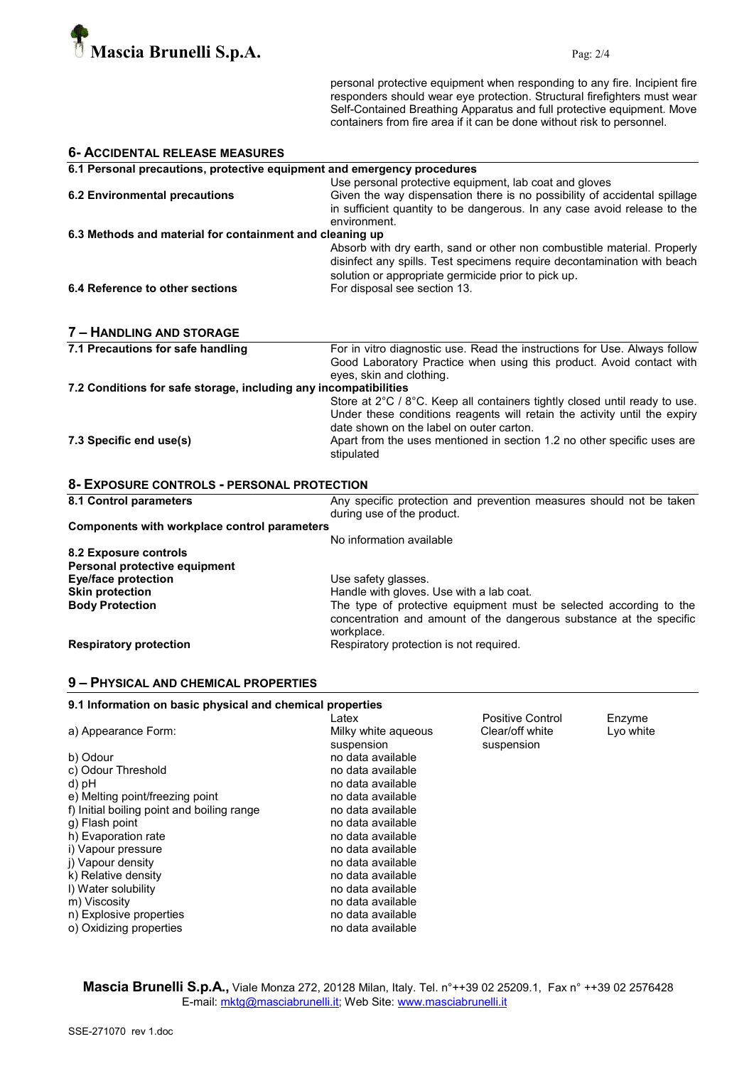

personal protective equipment when responding to any fire. Incipient fire responders should wear eye protection. Structural firefighters must wear Self-Contained Breathing Apparatus and full protective equipment. Move containers from fire area if it can be done without risk to personnel.

| <b>6- ACCIDENTAL RELEASE MEASURES</b>                                   |                                                                                                                                                                                                                                                                                              |  |  |  |
|-------------------------------------------------------------------------|----------------------------------------------------------------------------------------------------------------------------------------------------------------------------------------------------------------------------------------------------------------------------------------------|--|--|--|
| 6.1 Personal precautions, protective equipment and emergency procedures |                                                                                                                                                                                                                                                                                              |  |  |  |
| <b>6.2 Environmental precautions</b>                                    | Use personal protective equipment, lab coat and gloves<br>Given the way dispensation there is no possibility of accidental spillage<br>in sufficient quantity to be dangerous. In any case avoid release to the<br>environment.                                                              |  |  |  |
| 6.3 Methods and material for containment and cleaning up                |                                                                                                                                                                                                                                                                                              |  |  |  |
| 6.4 Reference to other sections                                         | Absorb with dry earth, sand or other non combustible material. Properly<br>disinfect any spills. Test specimens require decontamination with beach<br>solution or appropriate germicide prior to pick up.<br>For disposal see section 13.                                                    |  |  |  |
|                                                                         |                                                                                                                                                                                                                                                                                              |  |  |  |
| 7 - HANDLING AND STORAGE                                                |                                                                                                                                                                                                                                                                                              |  |  |  |
| 7.1 Precautions for safe handling                                       | For in vitro diagnostic use. Read the instructions for Use. Always follow<br>Good Laboratory Practice when using this product. Avoid contact with<br>eyes, skin and clothing.                                                                                                                |  |  |  |
| 7.2 Conditions for safe storage, including any incompatibilities        |                                                                                                                                                                                                                                                                                              |  |  |  |
| 7.3 Specific end use(s)                                                 | Store at 2°C / 8°C. Keep all containers tightly closed until ready to use.<br>Under these conditions reagents will retain the activity until the expiry<br>date shown on the label on outer carton.<br>Apart from the uses mentioned in section 1.2 no other specific uses are<br>stipulated |  |  |  |
| 8- EXPOSURE CONTROLS - PERSONAL PROTECTION                              |                                                                                                                                                                                                                                                                                              |  |  |  |
| 8.1 Control parameters                                                  | Any specific protection and prevention measures should not be taken<br>during use of the product.                                                                                                                                                                                            |  |  |  |
| <b>Components with workplace control parameters</b>                     |                                                                                                                                                                                                                                                                                              |  |  |  |
|                                                                         | No information available                                                                                                                                                                                                                                                                     |  |  |  |
| 8.2 Exposure controls<br>Personal protective equipment                  |                                                                                                                                                                                                                                                                                              |  |  |  |
| <b>Eye/face protection</b>                                              | Use safety glasses.                                                                                                                                                                                                                                                                          |  |  |  |
| <b>Skin protection</b>                                                  | Handle with gloves. Use with a lab coat.                                                                                                                                                                                                                                                     |  |  |  |
| <b>Body Protection</b>                                                  | The type of protective equipment must be selected according to the<br>concentration and amount of the dangerous substance at the specific<br>workplace.                                                                                                                                      |  |  |  |
| <b>Respiratory protection</b>                                           | Respiratory protection is not required.                                                                                                                                                                                                                                                      |  |  |  |

#### 9 – PHYSICAL AND CHEMICAL PROPERTIES

| 9.1 Information on basic physical and chemical properties |                  |           |  |  |
|-----------------------------------------------------------|------------------|-----------|--|--|
| Latex                                                     | Positive Control | Enzyme    |  |  |
| Milky white aqueous                                       | Clear/off white  | Lyo white |  |  |
| suspension                                                | suspension       |           |  |  |
| no data available                                         |                  |           |  |  |
| no data available                                         |                  |           |  |  |
| no data available                                         |                  |           |  |  |
| no data available                                         |                  |           |  |  |
| no data available                                         |                  |           |  |  |
| no data available                                         |                  |           |  |  |
| no data available                                         |                  |           |  |  |
| no data available                                         |                  |           |  |  |
| no data available                                         |                  |           |  |  |
| no data available                                         |                  |           |  |  |
| no data available                                         |                  |           |  |  |
| no data available                                         |                  |           |  |  |
| no data available                                         |                  |           |  |  |
| no data available                                         |                  |           |  |  |
|                                                           |                  |           |  |  |

Mascia Brunelli S.p.A., Viale Monza 272, 20128 Milan, Italy. Tel. n°++39 02 25209.1, Fax n° ++39 02 2576428 E-mail: mktg@masciabrunelli.it; Web Site: www.masciabrunelli.it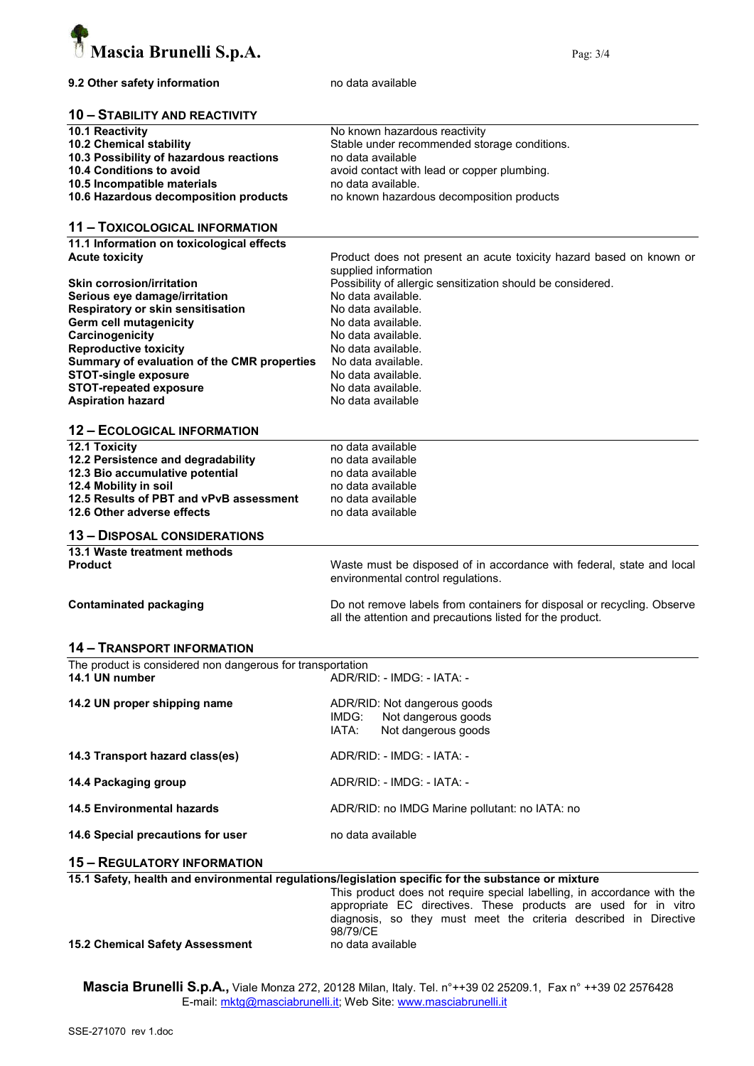

#### 9.2 Other safety information modata available

#### 10 – STABILITY AND REACTIVITY

| <b>10.1 Reactivity</b>                  | No known hazardous reactivity                |
|-----------------------------------------|----------------------------------------------|
| 10.2 Chemical stability                 | Stable under recommended storage conditions. |
| 10.3 Possibility of hazardous reactions | no data available                            |
| 10.4 Conditions to avoid                | avoid contact with lead or copper plumbing.  |
| 10.5 Incompatible materials             | no data available.                           |
| 10.6 Hazardous decomposition products   | no known hazardous decomposition products    |

#### 11 – TOXICOLOGICAL INFORMATION

11.1 Information on toxicological effects<br>Acute toxicity

| <b>Acute toxicity</b>                       | Product does not present an acute toxicity hazard based on known or<br>supplied information |
|---------------------------------------------|---------------------------------------------------------------------------------------------|
| <b>Skin corrosion/irritation</b>            | Possibility of allergic sensitization should be considered.                                 |
| Serious eye damage/irritation               | No data available.                                                                          |
| Respiratory or skin sensitisation           | No data available.                                                                          |
| Germ cell mutagenicity                      | No data available.                                                                          |
| Carcinogenicity                             | No data available.                                                                          |
| <b>Reproductive toxicity</b>                | No data available.                                                                          |
| Summary of evaluation of the CMR properties | No data available.                                                                          |
| <b>STOT-single exposure</b>                 | No data available.                                                                          |
| <b>STOT-repeated exposure</b>               | No data available.                                                                          |
| <b>Aspiration hazard</b>                    | No data available                                                                           |

#### 12 – ECOLOGICAL INFORMATION

| <b>12.1 Toxicity</b>                    | no data available                                                     |
|-----------------------------------------|-----------------------------------------------------------------------|
| 12.2 Persistence and degradability      | no data available                                                     |
| 12.3 Bio accumulative potential         | no data available                                                     |
| 12.4 Mobility in soil                   | no data available                                                     |
| 12.5 Results of PBT and vPvB assessment | no data available                                                     |
| 12.6 Other adverse effects              | no data available                                                     |
| <b>13 - DISPOSAL CONSIDERATIONS</b>     |                                                                       |
| 13.1 Waste treatment methods            |                                                                       |
| <b>Product</b>                          | Waste must be disposed of in accordance with federal, state and local |

environmental control regulations.

Contaminated packaging Do not remove labels from containers for disposal or recycling. Observe all the attention and precautions listed for the product.

#### 14 – TRANSPORT INFORMATION

| The product is considered non dangerous for transportation |                            |  |  |  |
|------------------------------------------------------------|----------------------------|--|--|--|
| 14.1 UN number                                             | ADR/RID: - IMDG: - IATA: - |  |  |  |
|                                                            |                            |  |  |  |

| 14.2 UN proper shipping name      | ADR/RID: Not dangerous goods<br>IMDG: Not dangerous goods<br>Not dangerous goods<br>IATA: |
|-----------------------------------|-------------------------------------------------------------------------------------------|
| 14.3 Transport hazard class(es)   | ADR/RID: - IMDG: - IATA: -                                                                |
| 14.4 Packaging group              | ADR/RID: - IMDG: - IATA: -                                                                |
| <b>14.5 Environmental hazards</b> | ADR/RID: no IMDG Marine pollutant: no IATA: no                                            |
| 14.6 Special precautions for user | no data available                                                                         |

#### 15 – REGULATORY INFORMATION

|  |  | 15.1 Safety, health and environmental regulations/legislation specific for the substance or mixture |  |  |  |  |  |
|--|--|-----------------------------------------------------------------------------------------------------|--|--|--|--|--|
|--|--|-----------------------------------------------------------------------------------------------------|--|--|--|--|--|

This product does not require special labelling, in accordance with the appropriate EC directives. These products are used for in vitro diagnosis, so they must meet the criteria described in Directive 98/79/CE

#### 15.2 Chemical Safety Assessment no data available

Mascia Brunelli S.p.A., Viale Monza 272, 20128 Milan, Italy. Tel. n°++39 02 25209.1, Fax n° ++39 02 2576428 E-mail: mktg@masciabrunelli.it; Web Site: www.masciabrunelli.it